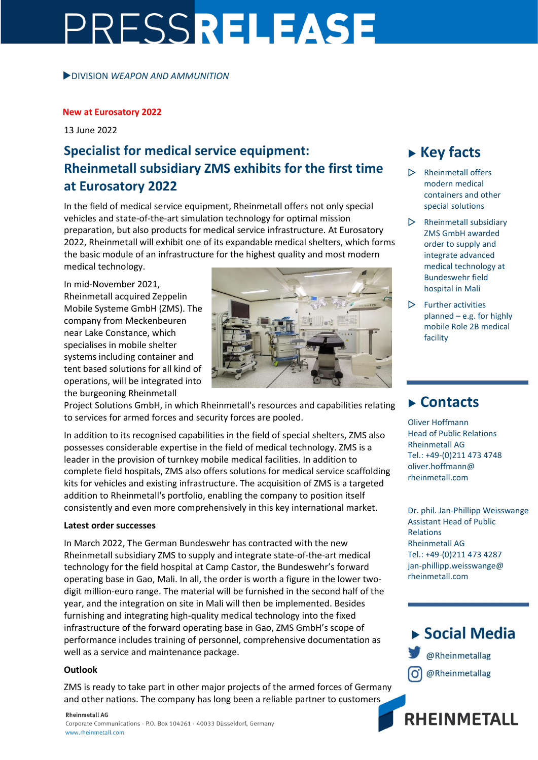# PRESSRELEASE

DIVISION *WEAPON AND AMMUNITION*

#### **New at Eurosatory 2022**

13 June 2022

## **Specialist for medical service equipment: Rheinmetall subsidiary ZMS exhibits for the first time at Eurosatory 2022**

In the field of medical service equipment, Rheinmetall offers not only special vehicles and state-of-the-art simulation technology for optimal mission preparation, but also products for medical service infrastructure. At Eurosatory 2022, Rheinmetall will exhibit one of its expandable medical shelters, which forms the basic module of an infrastructure for the highest quality and most modern medical technology.

In mid-November 2021, Rheinmetall acquired Zeppelin Mobile Systeme GmbH (ZMS). The company from Meckenbeuren near Lake Constance, which specialises in mobile shelter systems including container and tent based solutions for all kind of operations, will be integrated into the burgeoning Rheinmetall



Project Solutions GmbH, in which Rheinmetall's resources and capabilities relating to services for armed forces and security forces are pooled.

In addition to its recognised capabilities in the field of special shelters, ZMS also possesses considerable expertise in the field of medical technology. ZMS is a leader in the provision of turnkey mobile medical facilities. In addition to complete field hospitals, ZMS also offers solutions for medical service scaffolding kits for vehicles and existing infrastructure. The acquisition of ZMS is a targeted addition to Rheinmetall's portfolio, enabling the company to position itself consistently and even more comprehensively in this key international market.

#### **Latest order successes**

In March 2022, The German Bundeswehr has contracted with the new Rheinmetall subsidiary ZMS to supply and integrate state-of-the-art medical technology for the field hospital at Camp Castor, the Bundeswehr's forward operating base in Gao, Mali. In all, the order is worth a figure in the lower twodigit million-euro range. The material will be furnished in the second half of the year, and the integration on site in Mali will then be implemented. Besides furnishing and integrating high-quality medical technology into the fixed infrastructure of the forward operating base in Gao, ZMS GmbH's scope of performance includes training of personnel, comprehensive documentation as well as a service and maintenance package.

#### **Outlook**

ZMS is ready to take part in other major projects of the armed forces of Germany and other nations. The company has long been a reliable partner to customers

# **Key facts**

- Rheinmetall offers modern medical containers and other special solutions
- $\triangleright$  Rheinmetall subsidiary ZMS GmbH awarded order to supply and integrate advanced medical technology at Bundeswehr field hospital in Mali
- $\triangleright$  Further activities planned – e.g. for highly mobile Role 2B medical facility

### **Contacts**

Oliver Hoffmann Head of Public Relations Rheinmetall AG Tel.: +49-(0)211 473 4748 oliver.hoffmann@ rheinmetall.com

Dr. phil. Jan-Phillipp Weisswange Assistant Head of Public Relations Rheinmetall AG Tel.: +49-(0)211 473 4287 jan-phillipp.weisswange@ rheinmetall.com



**RHEINMETALL**